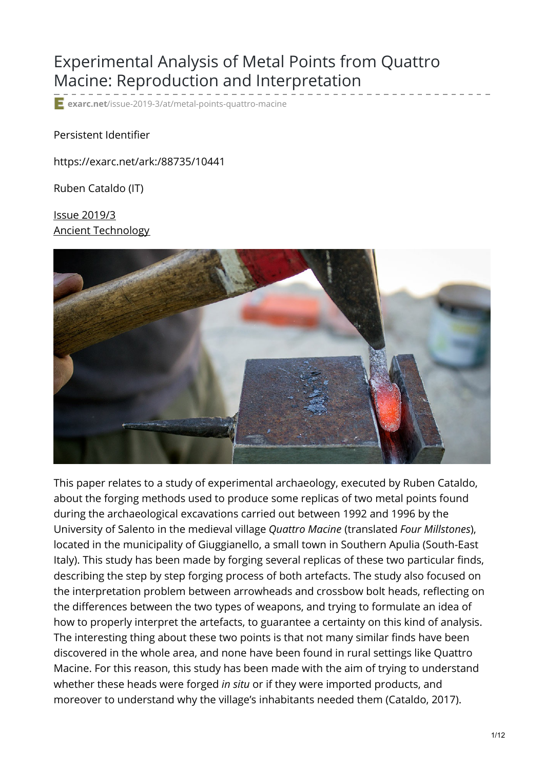# Experimental Analysis of Metal Points from Quattro Macine: Reproduction and Interpretation

**exarc.net**[/issue-2019-3/at/metal-points-quattro-macine](https://exarc.net/issue-2019-3/at/metal-points-quattro-macine?fbclid=IwAR2WSbFTw7_X7m55irR5hPY9rk82W7saZ0Bu1YAdvXMU_ei0jEhCQ5M5gc4)

Persistent Identifier

https://exarc.net/ark:/88735/10441

Ruben Cataldo (IT)

Issue [2019/3](https://exarc.net/issue-2019-3) Ancient [Technology](https://exarc.net/journal/ancient-technology)



This paper relates to a study of experimental archaeology, executed by Ruben Cataldo, about the forging methods used to produce some replicas of two metal points found during the archaeological excavations carried out between 1992 and 1996 by the University of Salento in the medieval village *Quattro Macine* (translated *Four Millstones*), located in the municipality of Giuggianello, a small town in Southern Apulia (South-East Italy). This study has been made by forging several replicas of these two particular finds, describing the step by step forging process of both artefacts. The study also focused on the interpretation problem between arrowheads and crossbow bolt heads, reflecting on the differences between the two types of weapons, and trying to formulate an idea of how to properly interpret the artefacts, to guarantee a certainty on this kind of analysis. The interesting thing about these two points is that not many similar finds have been discovered in the whole area, and none have been found in rural settings like Quattro Macine. For this reason, this study has been made with the aim of trying to understand whether these heads were forged *in situ* or if they were imported products, and moreover to understand why the village's inhabitants needed them (Cataldo, 2017).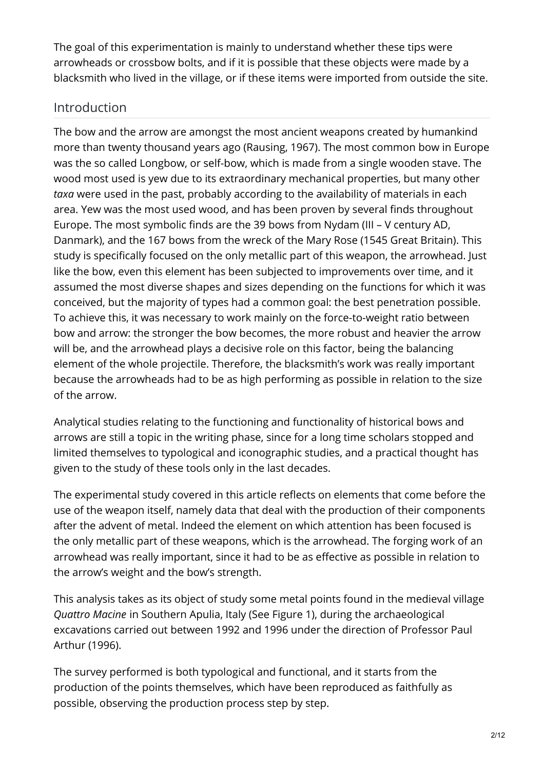The goal of this experimentation is mainly to understand whether these tips were arrowheads or crossbow bolts, and if it is possible that these objects were made by a blacksmith who lived in the village, or if these items were imported from outside the site.

### Introduction

The bow and the arrow are amongst the most ancient weapons created by humankind more than twenty thousand years ago (Rausing, 1967). The most common bow in Europe was the so called Longbow, or self-bow, which is made from a single wooden stave. The wood most used is yew due to its extraordinary mechanical properties, but many other *taxa* were used in the past, probably according to the availability of materials in each area. Yew was the most used wood, and has been proven by several finds throughout Europe. The most symbolic finds are the 39 bows from Nydam (III – V century AD, Danmark), and the 167 bows from the wreck of the Mary Rose (1545 Great Britain). This study is specifically focused on the only metallic part of this weapon, the arrowhead. Just like the bow, even this element has been subjected to improvements over time, and it assumed the most diverse shapes and sizes depending on the functions for which it was conceived, but the majority of types had a common goal: the best penetration possible. To achieve this, it was necessary to work mainly on the force-to-weight ratio between bow and arrow: the stronger the bow becomes, the more robust and heavier the arrow will be, and the arrowhead plays a decisive role on this factor, being the balancing element of the whole projectile. Therefore, the blacksmith's work was really important because the arrowheads had to be as high performing as possible in relation to the size of the arrow.

Analytical studies relating to the functioning and functionality of historical bows and arrows are still a topic in the writing phase, since for a long time scholars stopped and limited themselves to typological and iconographic studies, and a practical thought has given to the study of these tools only in the last decades.

The experimental study covered in this article reflects on elements that come before the use of the weapon itself, namely data that deal with the production of their components after the advent of metal. Indeed the element on which attention has been focused is the only metallic part of these weapons, which is the arrowhead. The forging work of an arrowhead was really important, since it had to be as effective as possible in relation to the arrow's weight and the bow's strength.

This analysis takes as its object of study some metal points found in the medieval village *Quattro Macine* in Southern Apulia, Italy (See Figure 1), during the archaeological excavations carried out between 1992 and 1996 under the direction of Professor Paul Arthur (1996).

The survey performed is both typological and functional, and it starts from the production of the points themselves, which have been reproduced as faithfully as possible, observing the production process step by step.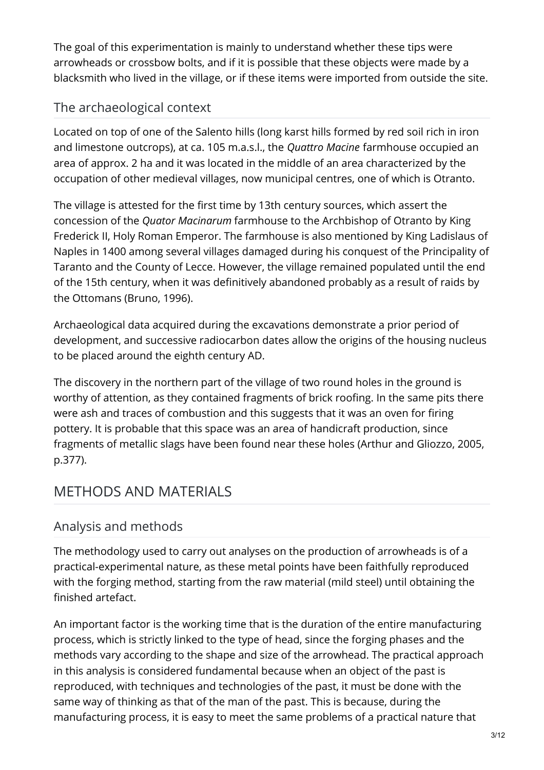The goal of this experimentation is mainly to understand whether these tips were arrowheads or crossbow bolts, and if it is possible that these objects were made by a blacksmith who lived in the village, or if these items were imported from outside the site.

## The archaeological context

Located on top of one of the Salento hills (long karst hills formed by red soil rich in iron and limestone outcrops), at ca. 105 m.a.s.l., the *Quattro Macine* farmhouse occupied an area of approx. 2 ha and it was located in the middle of an area characterized by the occupation of other medieval villages, now municipal centres, one of which is Otranto.

The village is attested for the first time by 13th century sources, which assert the concession of the *Quator Macinarum* farmhouse to the Archbishop of Otranto by King Frederick II, Holy Roman Emperor. The farmhouse is also mentioned by King Ladislaus of Naples in 1400 among several villages damaged during his conquest of the Principality of Taranto and the County of Lecce. However, the village remained populated until the end of the 15th century, when it was definitively abandoned probably as a result of raids by the Ottomans (Bruno, 1996).

Archaeological data acquired during the excavations demonstrate a prior period of development, and successive radiocarbon dates allow the origins of the housing nucleus to be placed around the eighth century AD.

The discovery in the northern part of the village of two round holes in the ground is worthy of attention, as they contained fragments of brick roofing. In the same pits there were ash and traces of combustion and this suggests that it was an oven for firing pottery. It is probable that this space was an area of handicraft production, since fragments of metallic slags have been found near these holes (Arthur and Gliozzo, 2005, p.377).

# METHODS AND MATERIALS

### Analysis and methods

The methodology used to carry out analyses on the production of arrowheads is of a practical-experimental nature, as these metal points have been faithfully reproduced with the forging method, starting from the raw material (mild steel) until obtaining the finished artefact.

An important factor is the working time that is the duration of the entire manufacturing process, which is strictly linked to the type of head, since the forging phases and the methods vary according to the shape and size of the arrowhead. The practical approach in this analysis is considered fundamental because when an object of the past is reproduced, with techniques and technologies of the past, it must be done with the same way of thinking as that of the man of the past. This is because, during the manufacturing process, it is easy to meet the same problems of a practical nature that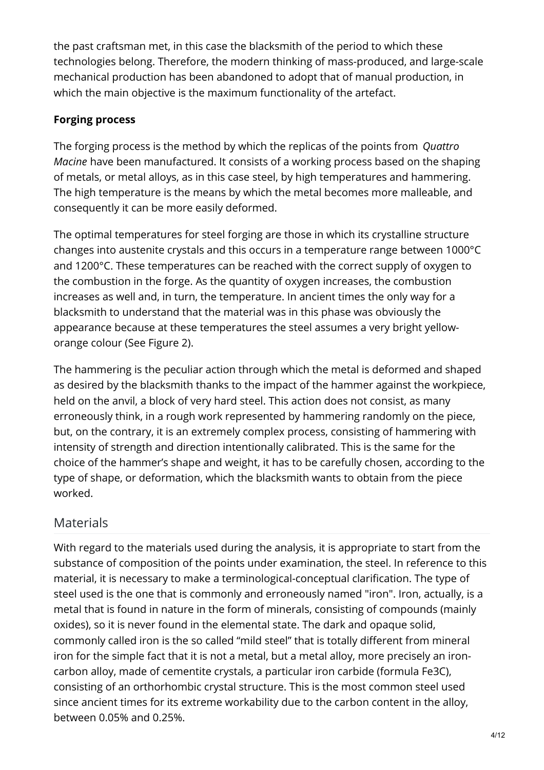the past craftsman met, in this case the blacksmith of the period to which these technologies belong. Therefore, the modern thinking of mass-produced, and large-scale mechanical production has been abandoned to adopt that of manual production, in which the main objective is the maximum functionality of the artefact.

#### **Forging process**

The forging process is the method by which the replicas of the points from *Quattro Macine* have been manufactured. It consists of a working process based on the shaping of metals, or metal alloys, as in this case steel, by high temperatures and hammering. The high temperature is the means by which the metal becomes more malleable, and consequently it can be more easily deformed.

The optimal temperatures for steel forging are those in which its crystalline structure changes into austenite crystals and this occurs in a temperature range between 1000°C and 1200°C. These temperatures can be reached with the correct supply of oxygen to the combustion in the forge. As the quantity of oxygen increases, the combustion increases as well and, in turn, the temperature. In ancient times the only way for a blacksmith to understand that the material was in this phase was obviously the appearance because at these temperatures the steel assumes a very bright yelloworange colour (See Figure 2).

The hammering is the peculiar action through which the metal is deformed and shaped as desired by the blacksmith thanks to the impact of the hammer against the workpiece, held on the anvil, a block of very hard steel. This action does not consist, as many erroneously think, in a rough work represented by hammering randomly on the piece, but, on the contrary, it is an extremely complex process, consisting of hammering with intensity of strength and direction intentionally calibrated. This is the same for the choice of the hammer's shape and weight, it has to be carefully chosen, according to the type of shape, or deformation, which the blacksmith wants to obtain from the piece worked.

## Materials

With regard to the materials used during the analysis, it is appropriate to start from the substance of composition of the points under examination, the steel. In reference to this material, it is necessary to make a terminological-conceptual clarification. The type of steel used is the one that is commonly and erroneously named "iron". Iron, actually, is a metal that is found in nature in the form of minerals, consisting of compounds (mainly oxides), so it is never found in the elemental state. The dark and opaque solid, commonly called iron is the so called "mild steel" that is totally different from mineral iron for the simple fact that it is not a metal, but a metal alloy, more precisely an ironcarbon alloy, made of cementite crystals, a particular iron carbide (formula Fe3C), consisting of an orthorhombic crystal structure. This is the most common steel used since ancient times for its extreme workability due to the carbon content in the alloy, between 0.05% and 0.25%.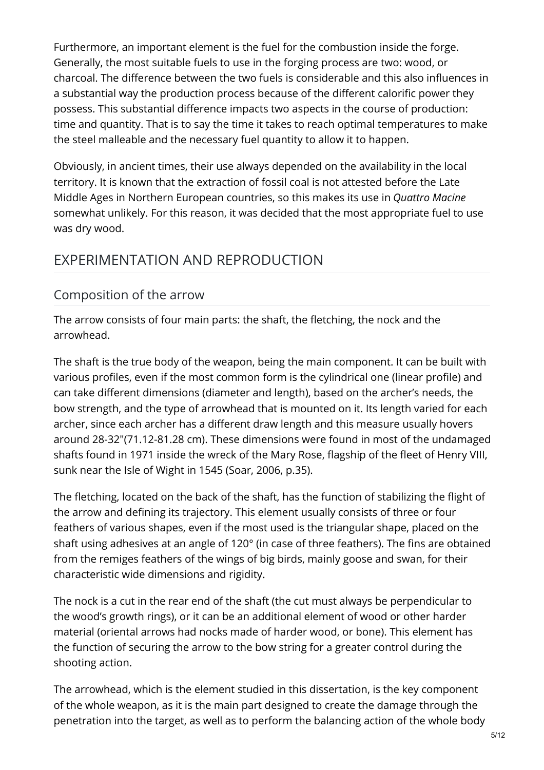Furthermore, an important element is the fuel for the combustion inside the forge. Generally, the most suitable fuels to use in the forging process are two: wood, or charcoal. The difference between the two fuels is considerable and this also influences in a substantial way the production process because of the different calorific power they possess. This substantial difference impacts two aspects in the course of production: time and quantity. That is to say the time it takes to reach optimal temperatures to make the steel malleable and the necessary fuel quantity to allow it to happen.

Obviously, in ancient times, their use always depended on the availability in the local territory. It is known that the extraction of fossil coal is not attested before the Late Middle Ages in Northern European countries, so this makes its use in *Quattro Macine* somewhat unlikely. For this reason, it was decided that the most appropriate fuel to use was dry wood.

# EXPERIMENTATION AND REPRODUCTION

## Composition of the arrow

The arrow consists of four main parts: the shaft, the fletching, the nock and the arrowhead.

The shaft is the true body of the weapon, being the main component. It can be built with various profiles, even if the most common form is the cylindrical one (linear profile) and can take different dimensions (diameter and length), based on the archer's needs, the bow strength, and the type of arrowhead that is mounted on it. Its length varied for each archer, since each archer has a different draw length and this measure usually hovers around 28-32"(71.12-81.28 cm). These dimensions were found in most of the undamaged shafts found in 1971 inside the wreck of the Mary Rose, flagship of the fleet of Henry VIII, sunk near the Isle of Wight in 1545 (Soar, 2006, p.35).

The fletching, located on the back of the shaft, has the function of stabilizing the flight of the arrow and defining its trajectory. This element usually consists of three or four feathers of various shapes, even if the most used is the triangular shape, placed on the shaft using adhesives at an angle of 120° (in case of three feathers). The fins are obtained from the remiges feathers of the wings of big birds, mainly goose and swan, for their characteristic wide dimensions and rigidity.

The nock is a cut in the rear end of the shaft (the cut must always be perpendicular to the wood's growth rings), or it can be an additional element of wood or other harder material (oriental arrows had nocks made of harder wood, or bone). This element has the function of securing the arrow to the bow string for a greater control during the shooting action.

The arrowhead, which is the element studied in this dissertation, is the key component of the whole weapon, as it is the main part designed to create the damage through the penetration into the target, as well as to perform the balancing action of the whole body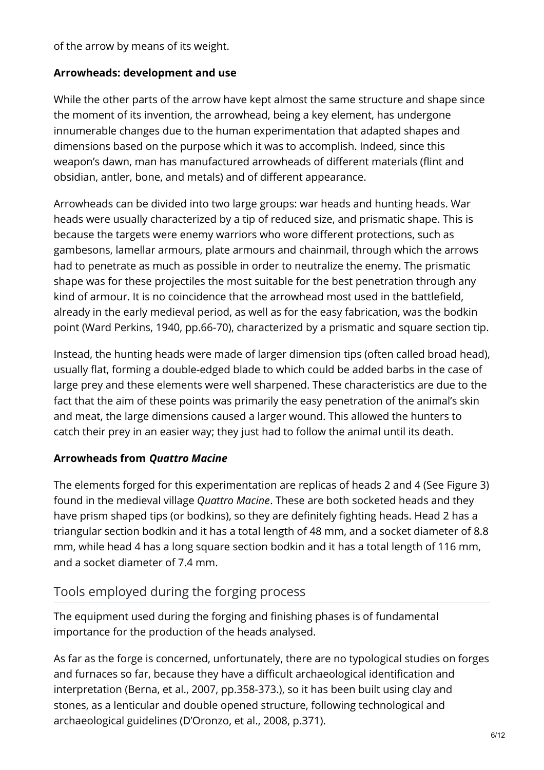of the arrow by means of its weight.

#### **Arrowheads: development and use**

While the other parts of the arrow have kept almost the same structure and shape since the moment of its invention, the arrowhead, being a key element, has undergone innumerable changes due to the human experimentation that adapted shapes and dimensions based on the purpose which it was to accomplish. Indeed, since this weapon's dawn, man has manufactured arrowheads of different materials (flint and obsidian, antler, bone, and metals) and of different appearance.

Arrowheads can be divided into two large groups: war heads and hunting heads. War heads were usually characterized by a tip of reduced size, and prismatic shape. This is because the targets were enemy warriors who wore different protections, such as gambesons, lamellar armours, plate armours and chainmail, through which the arrows had to penetrate as much as possible in order to neutralize the enemy. The prismatic shape was for these projectiles the most suitable for the best penetration through any kind of armour. It is no coincidence that the arrowhead most used in the battlefield, already in the early medieval period, as well as for the easy fabrication, was the bodkin point (Ward Perkins, 1940, pp.66-70), characterized by a prismatic and square section tip.

Instead, the hunting heads were made of larger dimension tips (often called broad head), usually flat, forming a double-edged blade to which could be added barbs in the case of large prey and these elements were well sharpened. These characteristics are due to the fact that the aim of these points was primarily the easy penetration of the animal's skin and meat, the large dimensions caused a larger wound. This allowed the hunters to catch their prey in an easier way; they just had to follow the animal until its death.

#### **Arrowheads from** *Quattro Macine*

The elements forged for this experimentation are replicas of heads 2 and 4 (See Figure 3) found in the medieval village *Quattro Macine*. These are both socketed heads and they have prism shaped tips (or bodkins), so they are definitely fighting heads. Head 2 has a triangular section bodkin and it has a total length of 48 mm, and a socket diameter of 8.8 mm, while head 4 has a long square section bodkin and it has a total length of 116 mm, and a socket diameter of 7.4 mm.

#### Tools employed during the forging process

The equipment used during the forging and finishing phases is of fundamental importance for the production of the heads analysed.

As far as the forge is concerned, unfortunately, there are no typological studies on forges and furnaces so far, because they have a difficult archaeological identification and interpretation (Berna, et al., 2007, pp.358-373.), so it has been built using clay and stones, as a lenticular and double opened structure, following technological and archaeological guidelines (D'Oronzo, et al., 2008, p.371).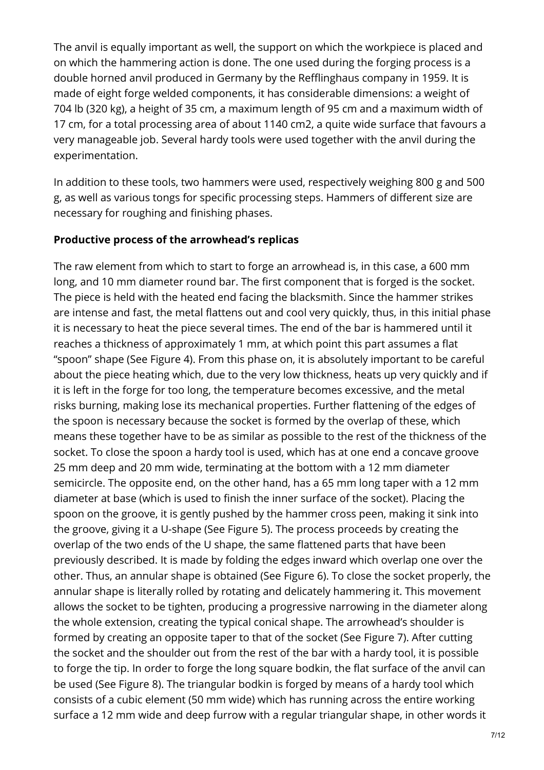The anvil is equally important as well, the support on which the workpiece is placed and on which the hammering action is done. The one used during the forging process is a double horned anvil produced in Germany by the Refflinghaus company in 1959. It is made of eight forge welded components, it has considerable dimensions: a weight of 704 lb (320 kg), a height of 35 cm, a maximum length of 95 cm and a maximum width of 17 cm, for a total processing area of about 1140 cm2, a quite wide surface that favours a very manageable job. Several hardy tools were used together with the anvil during the experimentation.

In addition to these tools, two hammers were used, respectively weighing 800 g and 500 g, as well as various tongs for specific processing steps. Hammers of different size are necessary for roughing and finishing phases.

#### **Productive process of the arrowhead's replicas**

The raw element from which to start to forge an arrowhead is, in this case, a 600 mm long, and 10 mm diameter round bar. The first component that is forged is the socket. The piece is held with the heated end facing the blacksmith. Since the hammer strikes are intense and fast, the metal flattens out and cool very quickly, thus, in this initial phase it is necessary to heat the piece several times. The end of the bar is hammered until it reaches a thickness of approximately 1 mm, at which point this part assumes a flat "spoon" shape (See Figure 4). From this phase on, it is absolutely important to be careful about the piece heating which, due to the very low thickness, heats up very quickly and if it is left in the forge for too long, the temperature becomes excessive, and the metal risks burning, making lose its mechanical properties. Further flattening of the edges of the spoon is necessary because the socket is formed by the overlap of these, which means these together have to be as similar as possible to the rest of the thickness of the socket. To close the spoon a hardy tool is used, which has at one end a concave groove 25 mm deep and 20 mm wide, terminating at the bottom with a 12 mm diameter semicircle. The opposite end, on the other hand, has a 65 mm long taper with a 12 mm diameter at base (which is used to finish the inner surface of the socket). Placing the spoon on the groove, it is gently pushed by the hammer cross peen, making it sink into the groove, giving it a U-shape (See Figure 5). The process proceeds by creating the overlap of the two ends of the U shape, the same flattened parts that have been previously described. It is made by folding the edges inward which overlap one over the other. Thus, an annular shape is obtained (See Figure 6). To close the socket properly, the annular shape is literally rolled by rotating and delicately hammering it. This movement allows the socket to be tighten, producing a progressive narrowing in the diameter along the whole extension, creating the typical conical shape. The arrowhead's shoulder is formed by creating an opposite taper to that of the socket (See Figure 7). After cutting the socket and the shoulder out from the rest of the bar with a hardy tool, it is possible to forge the tip. In order to forge the long square bodkin, the flat surface of the anvil can be used (See Figure 8). The triangular bodkin is forged by means of a hardy tool which consists of a cubic element (50 mm wide) which has running across the entire working surface a 12 mm wide and deep furrow with a regular triangular shape, in other words it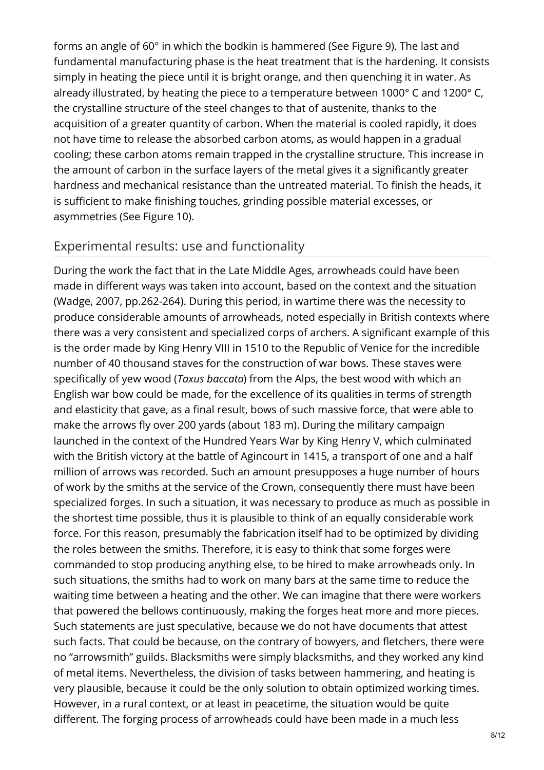forms an angle of 60° in which the bodkin is hammered (See Figure 9). The last and fundamental manufacturing phase is the heat treatment that is the hardening. It consists simply in heating the piece until it is bright orange, and then quenching it in water. As already illustrated, by heating the piece to a temperature between 1000° C and 1200° C, the crystalline structure of the steel changes to that of austenite, thanks to the acquisition of a greater quantity of carbon. When the material is cooled rapidly, it does not have time to release the absorbed carbon atoms, as would happen in a gradual cooling; these carbon atoms remain trapped in the crystalline structure. This increase in the amount of carbon in the surface layers of the metal gives it a significantly greater hardness and mechanical resistance than the untreated material. To finish the heads, it is sufficient to make finishing touches, grinding possible material excesses, or asymmetries (See Figure 10).

#### Experimental results: use and functionality

During the work the fact that in the Late Middle Ages, arrowheads could have been made in different ways was taken into account, based on the context and the situation (Wadge, 2007, pp.262-264). During this period, in wartime there was the necessity to produce considerable amounts of arrowheads, noted especially in British contexts where there was a very consistent and specialized corps of archers. A significant example of this is the order made by King Henry VIII in 1510 to the Republic of Venice for the incredible number of 40 thousand staves for the construction of war bows. These staves were specifically of yew wood (*Taxus baccata*) from the Alps, the best wood with which an English war bow could be made, for the excellence of its qualities in terms of strength and elasticity that gave, as a final result, bows of such massive force, that were able to make the arrows fly over 200 yards (about 183 m). During the military campaign launched in the context of the Hundred Years War by King Henry V, which culminated with the British victory at the battle of Agincourt in 1415, a transport of one and a half million of arrows was recorded. Such an amount presupposes a huge number of hours of work by the smiths at the service of the Crown, consequently there must have been specialized forges. In such a situation, it was necessary to produce as much as possible in the shortest time possible, thus it is plausible to think of an equally considerable work force. For this reason, presumably the fabrication itself had to be optimized by dividing the roles between the smiths. Therefore, it is easy to think that some forges were commanded to stop producing anything else, to be hired to make arrowheads only. In such situations, the smiths had to work on many bars at the same time to reduce the waiting time between a heating and the other. We can imagine that there were workers that powered the bellows continuously, making the forges heat more and more pieces. Such statements are just speculative, because we do not have documents that attest such facts. That could be because, on the contrary of bowyers, and fletchers, there were no "arrowsmith" guilds. Blacksmiths were simply blacksmiths, and they worked any kind of metal items. Nevertheless, the division of tasks between hammering, and heating is very plausible, because it could be the only solution to obtain optimized working times. However, in a rural context, or at least in peacetime, the situation would be quite different. The forging process of arrowheads could have been made in a much less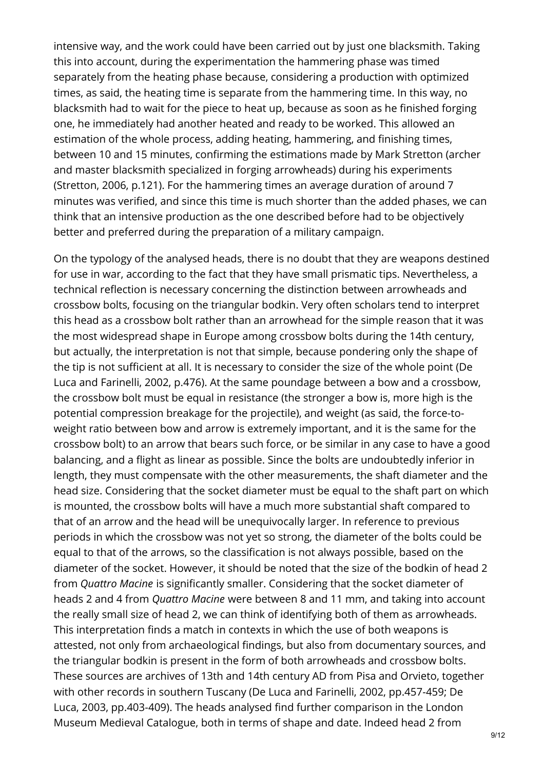intensive way, and the work could have been carried out by just one blacksmith. Taking this into account, during the experimentation the hammering phase was timed separately from the heating phase because, considering a production with optimized times, as said, the heating time is separate from the hammering time. In this way, no blacksmith had to wait for the piece to heat up, because as soon as he finished forging one, he immediately had another heated and ready to be worked. This allowed an estimation of the whole process, adding heating, hammering, and finishing times, between 10 and 15 minutes, confirming the estimations made by Mark Stretton (archer and master blacksmith specialized in forging arrowheads) during his experiments (Stretton, 2006, p.121). For the hammering times an average duration of around 7 minutes was verified, and since this time is much shorter than the added phases, we can think that an intensive production as the one described before had to be objectively better and preferred during the preparation of a military campaign.

On the typology of the analysed heads, there is no doubt that they are weapons destined for use in war, according to the fact that they have small prismatic tips. Nevertheless, a technical reflection is necessary concerning the distinction between arrowheads and crossbow bolts, focusing on the triangular bodkin. Very often scholars tend to interpret this head as a crossbow bolt rather than an arrowhead for the simple reason that it was the most widespread shape in Europe among crossbow bolts during the 14th century, but actually, the interpretation is not that simple, because pondering only the shape of the tip is not sufficient at all. It is necessary to consider the size of the whole point (De Luca and Farinelli, 2002, p.476). At the same poundage between a bow and a crossbow, the crossbow bolt must be equal in resistance (the stronger a bow is, more high is the potential compression breakage for the projectile), and weight (as said, the force-toweight ratio between bow and arrow is extremely important, and it is the same for the crossbow bolt) to an arrow that bears such force, or be similar in any case to have a good balancing, and a flight as linear as possible. Since the bolts are undoubtedly inferior in length, they must compensate with the other measurements, the shaft diameter and the head size. Considering that the socket diameter must be equal to the shaft part on which is mounted, the crossbow bolts will have a much more substantial shaft compared to that of an arrow and the head will be unequivocally larger. In reference to previous periods in which the crossbow was not yet so strong, the diameter of the bolts could be equal to that of the arrows, so the classification is not always possible, based on the diameter of the socket. However, it should be noted that the size of the bodkin of head 2 from *Quattro Macine* is significantly smaller. Considering that the socket diameter of heads 2 and 4 from *Quattro Macine* were between 8 and 11 mm, and taking into account the really small size of head 2, we can think of identifying both of them as arrowheads. This interpretation finds a match in contexts in which the use of both weapons is attested, not only from archaeological findings, but also from documentary sources, and the triangular bodkin is present in the form of both arrowheads and crossbow bolts. These sources are archives of 13th and 14th century AD from Pisa and Orvieto, together with other records in southern Tuscany (De Luca and Farinelli, 2002, pp.457-459; De Luca, 2003, pp.403-409). The heads analysed find further comparison in the London Museum Medieval Catalogue, both in terms of shape and date. Indeed head 2 from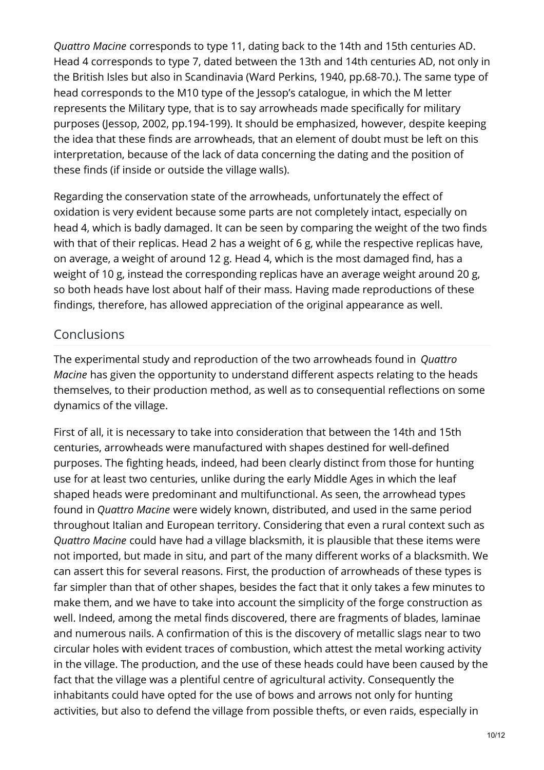*Quattro Macine* corresponds to type 11, dating back to the 14th and 15th centuries AD. Head 4 corresponds to type 7, dated between the 13th and 14th centuries AD, not only in the British Isles but also in Scandinavia (Ward Perkins, 1940, pp.68-70.). The same type of head corresponds to the M10 type of the Jessop's catalogue, in which the M letter represents the Military type, that is to say arrowheads made specifically for military purposes (Jessop, 2002, pp.194-199). It should be emphasized, however, despite keeping the idea that these finds are arrowheads, that an element of doubt must be left on this interpretation, because of the lack of data concerning the dating and the position of these finds (if inside or outside the village walls).

Regarding the conservation state of the arrowheads, unfortunately the effect of oxidation is very evident because some parts are not completely intact, especially on head 4, which is badly damaged. It can be seen by comparing the weight of the two finds with that of their replicas. Head 2 has a weight of 6 g, while the respective replicas have, on average, a weight of around 12 g. Head 4, which is the most damaged find, has a weight of 10 g, instead the corresponding replicas have an average weight around 20 g, so both heads have lost about half of their mass. Having made reproductions of these findings, therefore, has allowed appreciation of the original appearance as well.

#### Conclusions

The experimental study and reproduction of the two arrowheads found in *Quattro Macine* has given the opportunity to understand different aspects relating to the heads themselves, to their production method, as well as to consequential reflections on some dynamics of the village.

First of all, it is necessary to take into consideration that between the 14th and 15th centuries, arrowheads were manufactured with shapes destined for well-defined purposes. The fighting heads, indeed, had been clearly distinct from those for hunting use for at least two centuries, unlike during the early Middle Ages in which the leaf shaped heads were predominant and multifunctional. As seen, the arrowhead types found in *Quattro Macine* were widely known, distributed, and used in the same period throughout Italian and European territory. Considering that even a rural context such as *Quattro Macine* could have had a village blacksmith, it is plausible that these items were not imported, but made in situ, and part of the many different works of a blacksmith. We can assert this for several reasons. First, the production of arrowheads of these types is far simpler than that of other shapes, besides the fact that it only takes a few minutes to make them, and we have to take into account the simplicity of the forge construction as well. Indeed, among the metal finds discovered, there are fragments of blades, laminae and numerous nails. A confirmation of this is the discovery of metallic slags near to two circular holes with evident traces of combustion, which attest the metal working activity in the village. The production, and the use of these heads could have been caused by the fact that the village was a plentiful centre of agricultural activity. Consequently the inhabitants could have opted for the use of bows and arrows not only for hunting activities, but also to defend the village from possible thefts, or even raids, especially in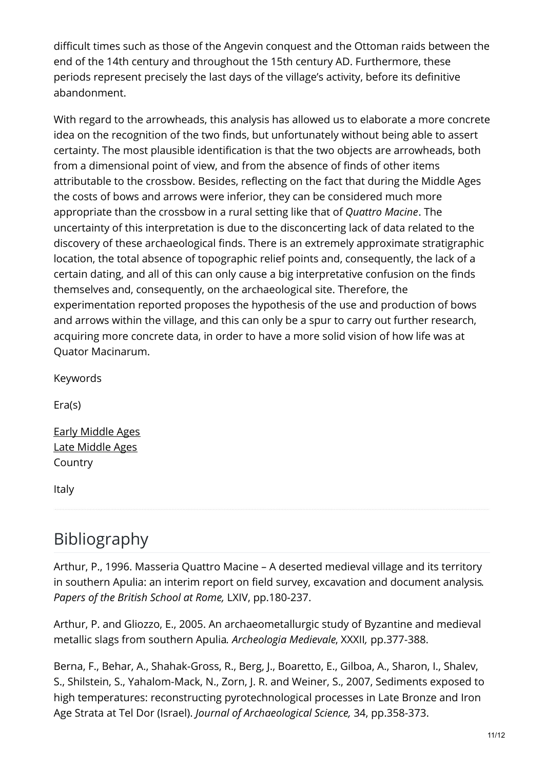difficult times such as those of the Angevin conquest and the Ottoman raids between the end of the 14th century and throughout the 15th century AD. Furthermore, these periods represent precisely the last days of the village's activity, before its definitive abandonment.

With regard to the arrowheads, this analysis has allowed us to elaborate a more concrete idea on the recognition of the two finds, but unfortunately without being able to assert certainty. The most plausible identification is that the two objects are arrowheads, both from a dimensional point of view, and from the absence of finds of other items attributable to the crossbow. Besides, reflecting on the fact that during the Middle Ages the costs of bows and arrows were inferior, they can be considered much more appropriate than the crossbow in a rural setting like that of *Quattro Macine*. The uncertainty of this interpretation is due to the disconcerting lack of data related to the discovery of these archaeological finds. There is an extremely approximate stratigraphic location, the total absence of topographic relief points and, consequently, the lack of a certain dating, and all of this can only cause a big interpretative confusion on the finds themselves and, consequently, on the archaeological site. Therefore, the experimentation reported proposes the hypothesis of the use and production of bows and arrows within the village, and this can only be a spur to carry out further research, acquiring more concrete data, in order to have a more solid vision of how life was at Quator Macinarum.

Keywords

Era(s)

Early [Middle](https://exarc.net/eras/early-middle-ages) Ages Late [Middle](https://exarc.net/eras/late-middle-ages) Ages Country

Italy

# Bibliography

Arthur, P., 1996. Masseria Quattro Macine – A deserted medieval village and its territory in southern Apulia: an interim report on field survey, excavation and document analysis*. Papers of the British School at Rome,* LXIV, pp.180-237.

Arthur, P. and Gliozzo, E., 2005. An archaeometallurgic study of Byzantine and medieval metallic slags from southern Apulia*. Archeologia Medievale*, XXXII*,* pp.377-388.

Berna, F., Behar, A., Shahak-Gross, R., Berg, J., Boaretto, E., Gilboa, A., Sharon, I., Shalev, S., Shilstein, S., Yahalom-Mack, N., Zorn, J. R. and Weiner, S., 2007, Sediments exposed to high temperatures: reconstructing pyrotechnological processes in Late Bronze and Iron Age Strata at Tel Dor (Israel). *Journal of Archaeological Science,* 34, pp.358-373.